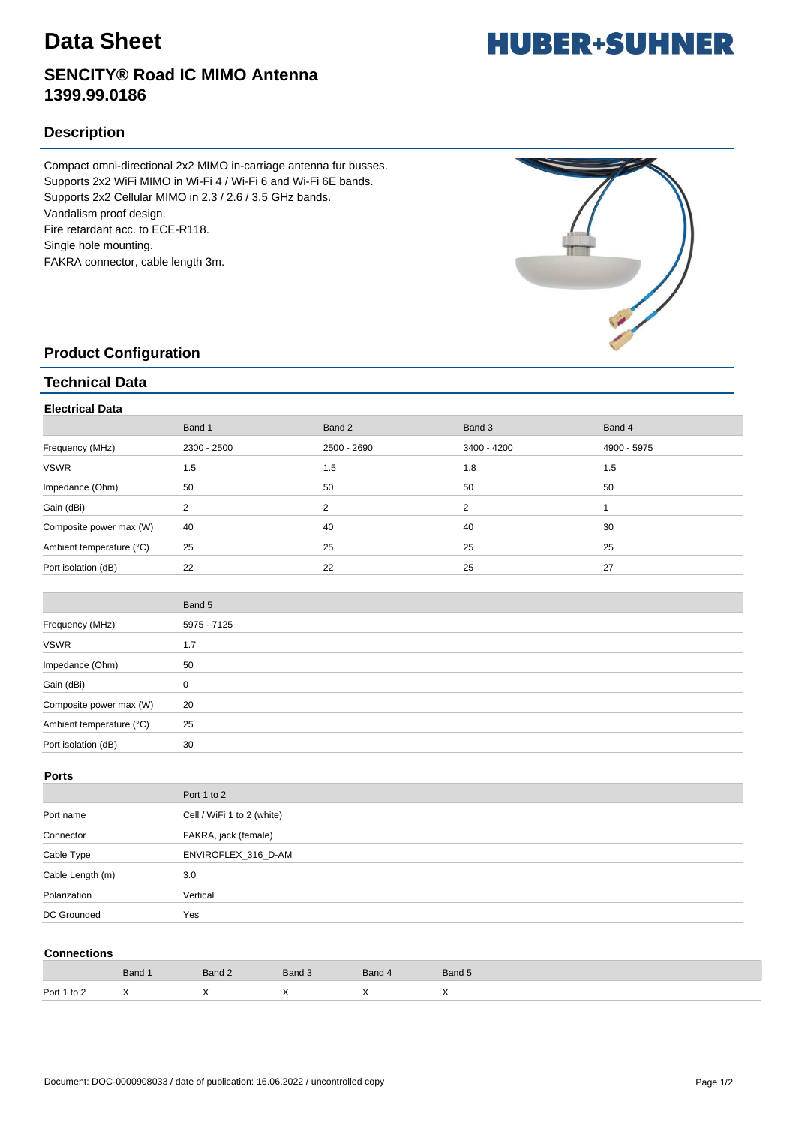# **Data Sheet**

## **SENCITY® Road IC MIMO Antenna 1399.99.0186**

## **Description**

Compact omni-directional 2x2 MIMO in-carriage antenna fur busses. Supports 2x2 WiFi MIMO in Wi-Fi 4 / Wi-Fi 6 and Wi-Fi 6E bands. Supports 2x2 Cellular MIMO in 2.3 / 2.6 / 3.5 GHz bands. Vandalism proof design. Fire retardant acc. to ECE-R118. Single hole mounting. FAKRA connector, cable length 3m.



### **Product Configuration**

#### **Technical Data**

| <b>Electrical Data</b>   |             |             |             |             |  |  |
|--------------------------|-------------|-------------|-------------|-------------|--|--|
|                          | Band 1      | Band 2      | Band 3      | Band 4      |  |  |
| Frequency (MHz)          | 2300 - 2500 | 2500 - 2690 | 3400 - 4200 | 4900 - 5975 |  |  |
| <b>VSWR</b>              | 1.5         | 1.5         | 1.8         | 1.5         |  |  |
| Impedance (Ohm)          | 50          | 50          | 50          | 50          |  |  |
| Gain (dBi)               | 2           | 2           | 2           |             |  |  |
| Composite power max (W)  | 40          | 40          | 40          | 30          |  |  |
| Ambient temperature (°C) | 25          | 25          | 25          | 25          |  |  |
| Port isolation (dB)      | 22          | 22          | 25          | 27          |  |  |

|                          | Band 5      |
|--------------------------|-------------|
| Frequency (MHz)          | 5975 - 7125 |
| <b>VSWR</b>              | 1.7         |
| Impedance (Ohm)          | 50          |
| Gain (dBi)               | 0           |
| Composite power max (W)  | 20          |
| Ambient temperature (°C) | 25          |
| Port isolation (dB)      | 30          |

#### **Ports**

|                  | Port 1 to 2                |
|------------------|----------------------------|
| Port name        | Cell / WiFi 1 to 2 (white) |
| Connector        | FAKRA, jack (female)       |
| Cable Type       | ENVIROFLEX_316_D-AM        |
| Cable Length (m) | 3.0                        |
| Polarization     | Vertical                   |
| DC Grounded      | Yes                        |

#### **Connections**

|             | Band 1         | Band 2 | Band 3    | Band 4 | Band 5 |
|-------------|----------------|--------|-----------|--------|--------|
| Port 1 to 2 | $\overline{ }$ |        | $\cdot$ . |        |        |

# **HUBER+SUHNER**